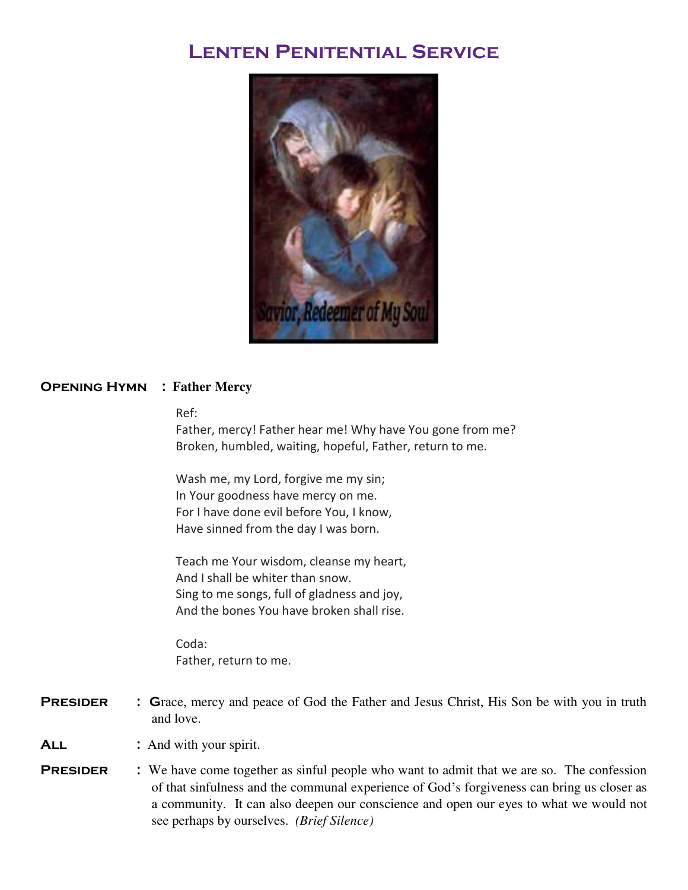# **Lenten Penitential Service**



## **Opening Hymn : Father Mercy**

#### Ref:

Father, mercy! Father hear me! Why have You gone from me? Broken, humbled, waiting, hopeful, Father, return to me.

Wash me, my Lord, forgive me my sin; In Your goodness have mercy on me. For I have done evil before You, I know, Have sinned from the day I was born.

Teach me Your wisdom, cleanse my heart, And I shall be whiter than snow. Sing to me songs, full of gladness and joy, And the bones You have broken shall rise.

Coda: Father, return to me.

**PRESIDER : Grace, mercy and peace of God the Father and Jesus Christ, His Son be with you in truth** and love.

**ALL** : And with your spirit.

**PRESIDER** : We have come together as sinful people who want to admit that we are so. The confession of that sinfulness and the communal experience of God's forgiveness can bring us closer as a community. It can also deepen our conscience and open our eyes to what we would not see perhaps by ourselves. *(Brief Silence)*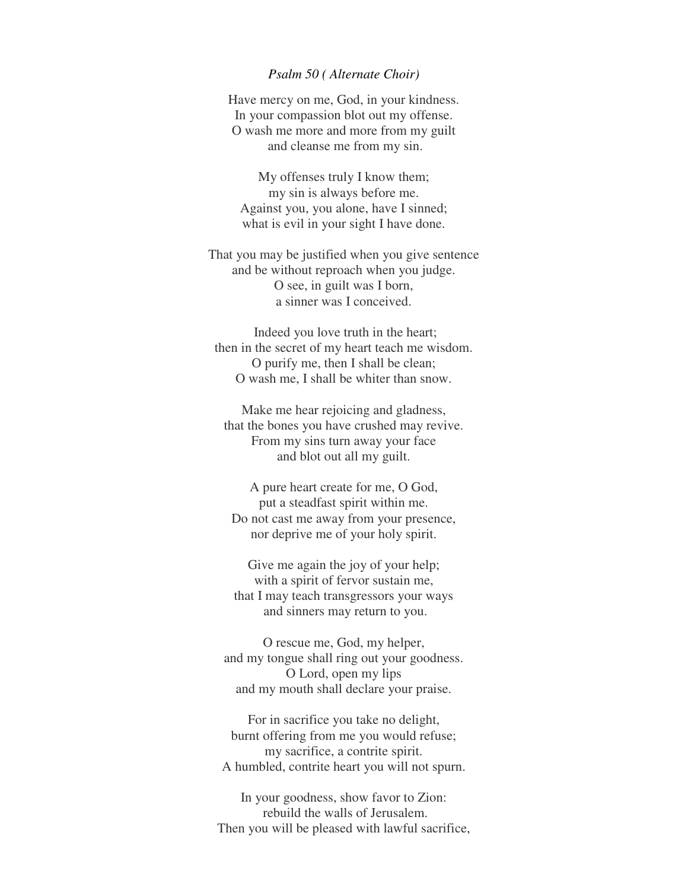### *Psalm 50 ( Alternate Choir)*

Have mercy on me, God, in your kindness. In your compassion blot out my offense. O wash me more and more from my guilt and cleanse me from my sin.

My offenses truly I know them; my sin is always before me. Against you, you alone, have I sinned; what is evil in your sight I have done.

That you may be justified when you give sentence and be without reproach when you judge. O see, in guilt was I born, a sinner was I conceived.

 Indeed you love truth in the heart; then in the secret of my heart teach me wisdom. O purify me, then I shall be clean; O wash me, I shall be whiter than snow.

Make me hear rejoicing and gladness, that the bones you have crushed may revive. From my sins turn away your face and blot out all my guilt.

A pure heart create for me, O God, put a steadfast spirit within me. Do not cast me away from your presence, nor deprive me of your holy spirit.

Give me again the joy of your help; with a spirit of fervor sustain me, that I may teach transgressors your ways and sinners may return to you.

O rescue me, God, my helper, and my tongue shall ring out your goodness. O Lord, open my lips and my mouth shall declare your praise.

For in sacrifice you take no delight, burnt offering from me you would refuse; my sacrifice, a contrite spirit. A humbled, contrite heart you will not spurn.

In your goodness, show favor to Zion: rebuild the walls of Jerusalem. Then you will be pleased with lawful sacrifice,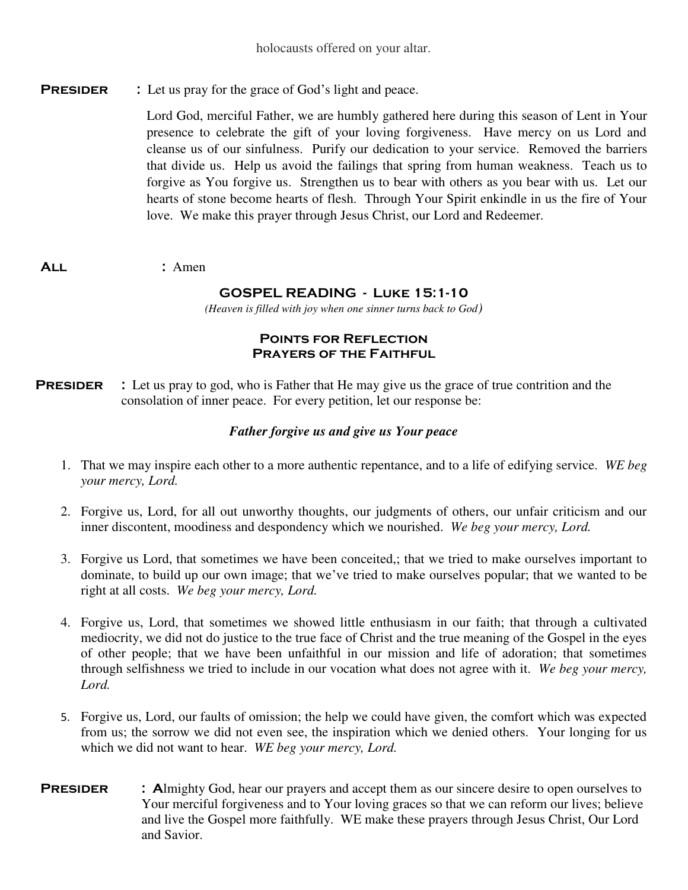**PRESIDER** : Let us pray for the grace of God's light and peace.

 Lord God, merciful Father, we are humbly gathered here during this season of Lent in Your presence to celebrate the gift of your loving forgiveness. Have mercy on us Lord and cleanse us of our sinfulness. Purify our dedication to your service. Removed the barriers that divide us. Help us avoid the failings that spring from human weakness. Teach us to forgive as You forgive us. Strengthen us to bear with others as you bear with us. Let our hearts of stone become hearts of flesh. Through Your Spirit enkindle in us the fire of Your love. We make this prayer through Jesus Christ, our Lord and Redeemer.

ALL : Amen

# **GOSPEL READING - Luke 15:1-10**

*(Heaven is filled with joy when one sinner turns back to God)*

# **Points for Reflection Prayers of the Faithful**

**PRESIDER** : Let us pray to god, who is Father that He may give us the grace of true contrition and the consolation of inner peace. For every petition, let our response be:

# *Father forgive us and give us Your peace*

- 1. That we may inspire each other to a more authentic repentance, and to a life of edifying service. *WE beg your mercy, Lord.*
- 2. Forgive us, Lord, for all out unworthy thoughts, our judgments of others, our unfair criticism and our inner discontent, moodiness and despondency which we nourished. *We beg your mercy, Lord.*
- 3. Forgive us Lord, that sometimes we have been conceited,; that we tried to make ourselves important to dominate, to build up our own image; that we've tried to make ourselves popular; that we wanted to be right at all costs. *We beg your mercy, Lord.*
- 4. Forgive us, Lord, that sometimes we showed little enthusiasm in our faith; that through a cultivated mediocrity, we did not do justice to the true face of Christ and the true meaning of the Gospel in the eyes of other people; that we have been unfaithful in our mission and life of adoration; that sometimes through selfishness we tried to include in our vocation what does not agree with it. *We beg your mercy, Lord.*
- 5. Forgive us, Lord, our faults of omission; the help we could have given, the comfort which was expected from us; the sorrow we did not even see, the inspiration which we denied others. Your longing for us which we did not want to hear. *WE beg your mercy, Lord.*
- **PRESIDER : Almighty God, hear our prayers and accept them as our sincere desire to open ourselves to** Your merciful forgiveness and to Your loving graces so that we can reform our lives; believe and live the Gospel more faithfully. WE make these prayers through Jesus Christ, Our Lord and Savior.